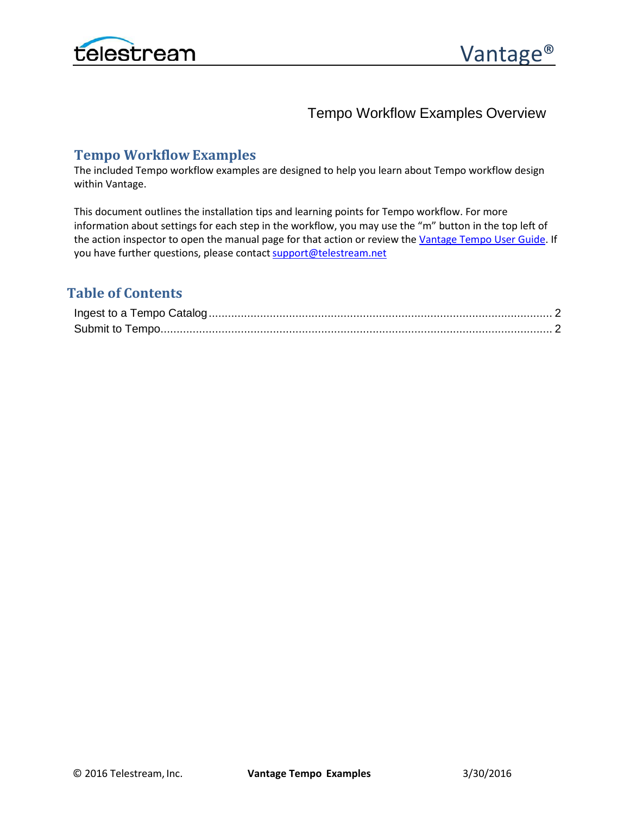

Tempo Workflow Examples Overview

## **Tempo Workflow Examples**

The included Tempo workflow examples are designed to help you learn about Tempo workflow design within Vantage.

This document outlines the installation tips and learning points for Tempo workflow. For more information about settings for each step in the workflow, you may use the "m" button in the top left of the action inspector to open the manual page for that action or review th[e Vantage Tempo User Guide.](http://www.telestream.net/pdfs/user-guides/Vantage-UserGuides/Vantage-Tempo-Guide.pdf) If you have further questions, please contact support@telestream.net

# **Table of Contents**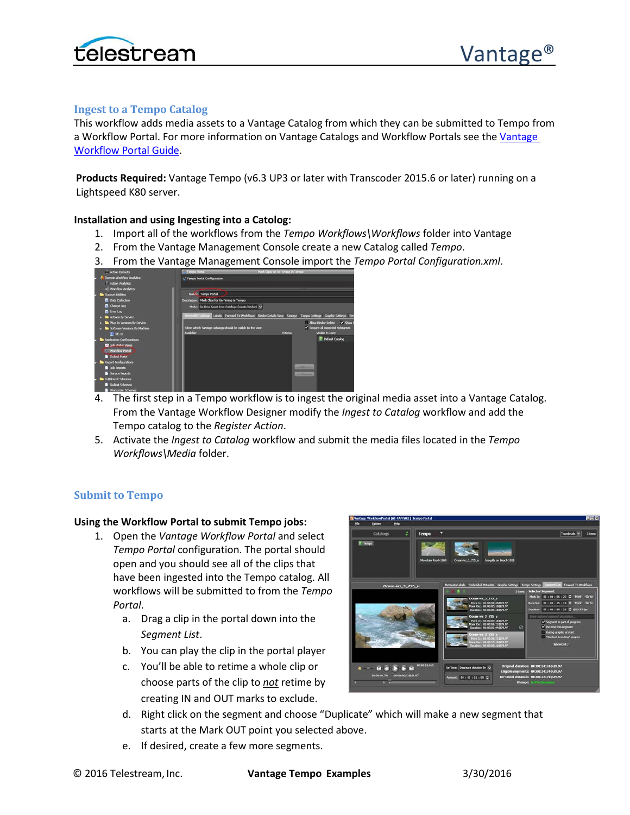



### <span id="page-1-0"></span>**Ingest to a Tempo Catalog**

This workflow adds media assets to a Vantage Catalog from which they can be submitted to Tempo from a Workflow Portal. For more information on Vantage Catalogs and Workflow Portals see the [Vantage](http://www.telestream.net/pdfs/user-guides/Vantage-UserGuides/Vantage-WorkFlow-Portal-Guide.pdf)  [Workflow Portal Guide.](http://www.telestream.net/pdfs/user-guides/Vantage-UserGuides/Vantage-WorkFlow-Portal-Guide.pdf)

**Products Required:** Vantage Tempo (v6.3 UP3 or later with Transcoder 2015.6 or later) running on a Lightspeed K80 server.

#### **Installation and using Ingesting into a Catolog:**

- 1. Import all of the workflows from the *Tempo Workflows\Workflows* folder into Vantage
- 2. From the Vantage Management Console create a new Catalog called *Tempo*.
- 3. From the Vantage Management Console import the *Tempo Portal Configuration.xml*.

| 7 Action Defaults                                                              | - Tempo Portal                                                                | Mark Clips for Re-Timing in Tempo-                                                                                          |
|--------------------------------------------------------------------------------|-------------------------------------------------------------------------------|-----------------------------------------------------------------------------------------------------------------------------|
| Domain Worldfow Analytics<br>T Action Analytics<br>C Workflow Analytics        | - Tempo Portal Configuration                                                  |                                                                                                                             |
| Support Utilities                                                              | <b>Nat.</b> Tempo Portal                                                      |                                                                                                                             |
| <b>B</b> Data Collection                                                       | Description: Mark Clips for Re-Timing in Tempo                                |                                                                                                                             |
| <b>D</b> Change Log<br><b>D</b> Error Log                                      | Mode: Re-time Asset from Catalogs (create binder) V                           | Browsshie Catalogs   Labels   Forward To Workflows   Binder Details View   Storage   Tempo Settings   Craphic Settings   Em |
| . So Actions by Service                                                        |                                                                               | $V$ Signall<br>Allow Binder Delete                                                                                          |
| F Sa Plug-In Versions By Service<br>Sa Software Versions By Machine<br>E HE-10 | Select which Vantage catalogs should be visible to the user:<br>Augustability | V Require all expected nicknames<br>Visible to user:<br>O items                                                             |
| Application Configurations                                                     |                                                                               | Default Catalog                                                                                                             |
| <b>By John Charles, Viewer</b><br><b>IS Children Portal</b>                    |                                                                               |                                                                                                                             |
| <b>Dublic Portal</b>                                                           |                                                                               |                                                                                                                             |
| <b>Beport Configurations</b>                                                   |                                                                               |                                                                                                                             |
| <b>200 Reports</b>                                                             |                                                                               | <b>HAMARI</b>                                                                                                               |
| Service Reports                                                                |                                                                               | <b>HOLD SHOW</b>                                                                                                            |
| <b>Tuffilment Schemes</b>                                                      |                                                                               |                                                                                                                             |
| <b>Dublick Schemes</b>                                                         |                                                                               |                                                                                                                             |
|                                                                                |                                                                               |                                                                                                                             |

- 4. The first step in a Tempo workflow is to ingest the original media asset into a Vantage Catalog. From the Vantage Workflow Designer modify the *Ingest to Catalog* workflow and add the Tempo catalog to the *Register Action*.
- 5. Activate the *Ingest to Catalog* workflow and submit the media files located in the *Tempo Workflows\Media* folder.

#### <span id="page-1-1"></span>**Submit to Tempo**

#### **Using the Workflow Portal to submit Tempo jobs:**

- 1. Open the *Vantage Workflow Portal* and select *Tempo Portal* configuration. The portal should open and you should see all of the clips that have been ingested into the Tempo catalog. All workflows will be submitted to from the *Tempo Portal*.
	- a. Drag a clip in the portal down into the *Segment List*.
	- b. You can play the clip in the portal player
	- c. You'll be able to retime a whole clip or choose parts of the clip to *not* retime by creating IN and OUT marks to exclude.



- d. Right click on the segment and choose "Duplicate" which will make a new segment that starts at the Mark OUT point you selected above.
- e. If desired, create a few more segments.